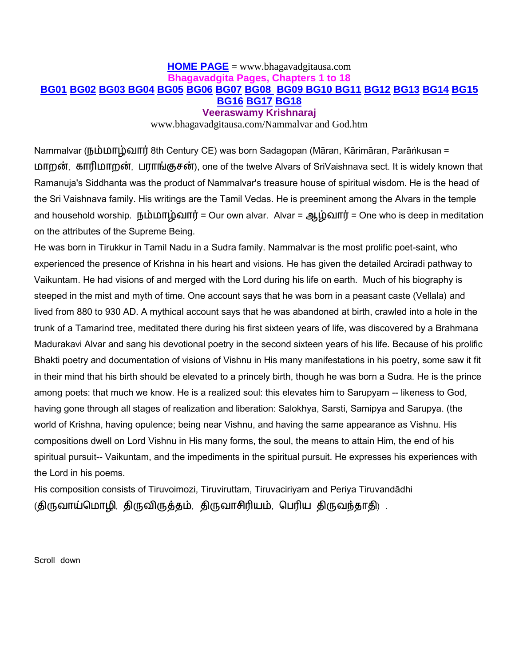## **[HOME PAGE](file:///C:/Documents%20and%20Settings/Krishnaraj/My%20Documents/MY%20WEBS/index.htm)** = www.bhagavadgitausa.com **Bhagavadgita Pages, Chapters 1 to 18 [BG01](file:///C:/Documents%20and%20Settings/Krishnaraj/My%20Documents/MY%20WEBS/bg01.htm) [BG02](file:///C:/Documents%20and%20Settings/Krishnaraj/My%20Documents/MY%20WEBS/bg02.htm) [BG03](file:///C:/Documents%20and%20Settings/Krishnaraj/My%20Documents/MY%20WEBS/bg03.htm) [BG04](file:///C:/Documents%20and%20Settings/Krishnaraj/My%20Documents/MY%20WEBS/bg03.htm) [BG05](file:///C:/Documents%20and%20Settings/Krishnaraj/My%20Documents/MY%20WEBS/bg05.htm) [BG06](file:///C:/Documents%20and%20Settings/Krishnaraj/My%20Documents/MY%20WEBS/bg06.htm) [BG07](file:///C:/Documents%20and%20Settings/Krishnaraj/My%20Documents/MY%20WEBS/bg07.htm) [BG08](file:///C:/Documents%20and%20Settings/Krishnaraj/My%20Documents/MY%20WEBS/bg08.htm) [BG09 BG10](file:///C:/Documents%20and%20Settings/Krishnaraj/My%20Documents/MY%20WEBS/bg09.htm) [BG11](file:///C:/Documents%20and%20Settings/Krishnaraj/My%20Documents/MY%20WEBS/bg11.htm) [BG12](file:///C:/Documents%20and%20Settings/Krishnaraj/My%20Documents/MY%20WEBS/bg12.htm) [BG13](file:///C:/Documents%20and%20Settings/Krishnaraj/My%20Documents/MY%20WEBS/bg13.htm) [BG14](file:///C:/Documents%20and%20Settings/Krishnaraj/My%20Documents/MY%20WEBS/bg14.htm) [BG15](file:///C:/Documents%20and%20Settings/Krishnaraj/My%20Documents/MY%20WEBS/bg15.htm) [BG16](file:///C:/Documents%20and%20Settings/Krishnaraj/My%20Documents/MY%20WEBS/bg16.htm) [BG17](file:///C:/Documents%20and%20Settings/Krishnaraj/My%20Documents/MY%20WEBS/bg17.htm) [BG18](file:///C:/Documents%20and%20Settings/Krishnaraj/My%20Documents/MY%20WEBS/bg18.htm) Veeraswamy Krishnaraj**

www.bhagavadgitausa.com/Nammalvar and God.htm

Nammalvar (நம்மாழ்வார் 8th Century CE) was born Sadagopan (Māran, Kārimāran, Parāṅkusan = நான், காரிநான், பாங்குசன்), one of the twelve Alvars of SriVaishnava sect. It is widely known that Ramanuja's Siddhanta was the product of Nammalvar's treasure house of spiritual wisdom. He is the head of the Sri Vaishnava family. His writings are the Tamil Vedas. He is preeminent among the Alvars in the temple and household worship. நம்மாழ்வார் = Our own alvar. Alvar = ஆழ்வார் = One who is deep in meditation on the attributes of the Supreme Being.

He was born in Tirukkur in Tamil Nadu in a Sudra family. Nammalvar is the most prolific poet-saint, who experienced the presence of Krishna in his heart and visions. He has given the detailed Arciradi pathway to Vaikuntam. He had visions of and merged with the Lord during his life on earth. Much of his biography is steeped in the mist and myth of time. One account says that he was born in a peasant caste (Vellala) and lived from 880 to 930 AD. A mythical account says that he was abandoned at birth, crawled into a hole in the trunk of a Tamarind tree, meditated there during his first sixteen years of life, was discovered by a Brahmana Madurakavi Alvar and sang his devotional poetry in the second sixteen years of his life. Because of his prolific Bhakti poetry and documentation of visions of Vishnu in His many manifestations in his poetry, some saw it fit in their mind that his birth should be elevated to a princely birth, though he was born a Sudra. He is the prince among poets: that much we know. He is a realized soul: this elevates him to Sarupyam -- likeness to God, having gone through all stages of realization and liberation: Salokhya, Sarsti, Samipya and Sarupya. (the world of Krishna, having opulence; being near Vishnu, and having the same appearance as Vishnu. His compositions dwell on Lord Vishnu in His many forms, the soul, the means to attain Him, the end of his spiritual pursuit-- Vaikuntam, and the impediments in the spiritual pursuit. He expresses his experiences with the Lord in his poems.

His composition consists of Tiruvoimozi, Tiruviruttam, Tiruvaciriyam and Periya Tiruvandādhi (திருவாய்மொழி, திருவிருத்தம், திருவாசிரியம், பெரிய திருவந்தாதி) .

Scroll down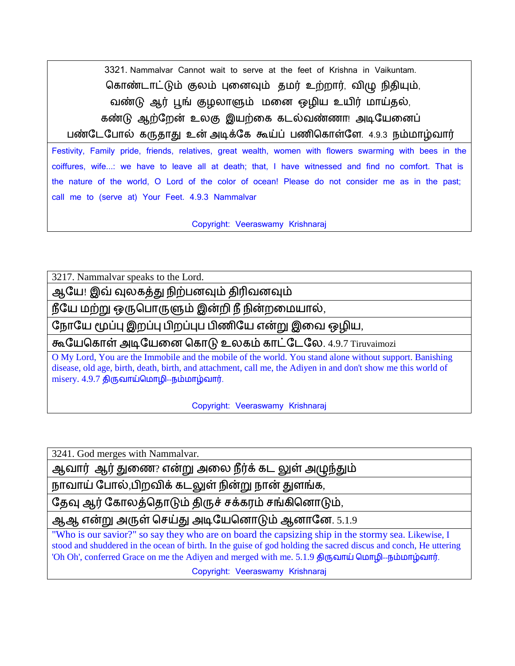3321. Nammalvar Cannot wait to serve at the feet of Krishna in Vaikuntam. கொண்டாட்டும் குலம் புனைவும் தமர் உற்றார், விழு நிதியும், யண்டு ஆர் பூங் குமொளும் நன ஒமின உனிர் நொய்தல், கண்டு ஆற்றேன் உலகு இயற்கை கடல்வண்ணா! அடியேனைப்

பண்டேபோல் கருதாது உன் அடிக்கே கூய்ப் பணிகொள்ளே. 4.9.3 நம்மாழ்வார்

Festivity, Family pride, friends, relatives, great wealth, women with flowers swarming with bees in the coiffures, wife...: we have to leave all at death; that, I have witnessed and find no comfort. That is the nature of the world, O Lord of the color of ocean! Please do not consider me as in the past; call me to (serve at) Your Feet. 4.9.3 Nammalvar

Copyright: Veeraswamy Krishnaraj

3217. Nammalvar speaks to the Lord.

ஆயே! இவ் வுலகத்து நிற்பனவும் திரிவனவும்

நீயே மற்று ஒருபொருளும் இன்றி நீ நின்றமையால்,

நோயே மூப்பு இறப்பு பிறப்புப பிணியே என்று இவை ஒழிய,

கூயேகொள் அடியேனை கொடு உலகம் காட்டேலே. 4.9.7 Tiruvaimozi

O My Lord, You are the Immobile and the mobile of the world. You stand alone without support. Banishing disease, old age, birth, death, birth, and attachment, call me, the Adiyen in and don't show me this world of  $m$ isery.  $4.9.7$  திருவாய்மொழி--நம்மாழ்வார்.

Copyright: Veeraswamy Krishnaraj

3241. God merges with Nammalvar.

ஆவார் ஆர் துணை? என்று அலை நீர்க் கட லுள் அழுந்தும்

நாவாய் போல்,பிறவிக் கடலுள் நின்று நான் துளங்க,

தேவு ஆர் கோலத்தொடும் திருச் சக்கரம் சங்கினொடும்,

ஆஆ என்று அருள் செய்து அடியேனொடும் ஆனானே. 5.1.9

"Who is our savior?" so say they who are on board the capsizing ship in the stormy sea. Likewise, I stood and shuddered in the ocean of birth. In the guise of god holding the sacred discus and conch, He uttering 'Oh Oh', conferred Grace on me the Adiyen and merged with me. 5.1.9 திருவாய் மொழி--நம்மாழ்வார்.

Copyright: Veeraswamy Krishnaraj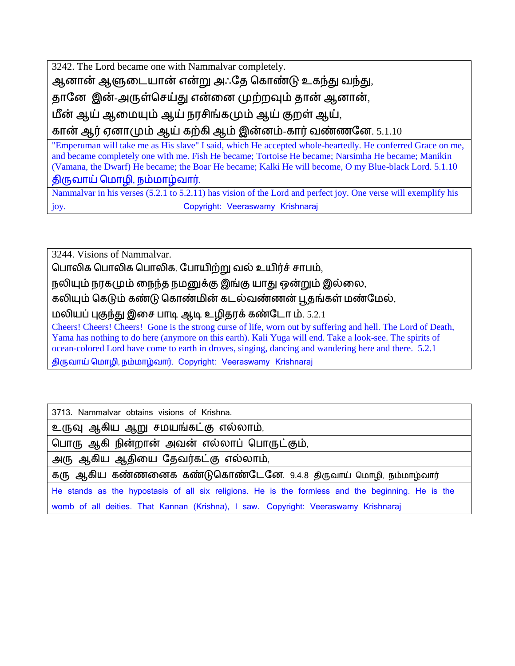3242. The Lord became one with Nammalvar completely.

ஆனான் ஆளுடையான் என்று அஃதே கொண்டு உகந்து வந்து,

தானே இன்-அருள்செய்து என்னை முற்றவும் தான் ஆனான்,

நீன் ஆய் ஆரநபம் ஆய் பசிங்கபம் ஆய் குள் ஆய்,

கான் ஆர் ஏனாமும் ஆய் கற்கி ஆம் இன்னம்-கார் வண்ணனே.  $5.1.10$ 

"Emperuman will take me as His slave" I said, which He accepted whole-heartedly. He conferred Grace on me, and became completely one with me. Fish He became; Tortoise He became; Narsimha He became; Manikin (Vamana, the Dwarf) He became; the Boar He became; Kalki He will become, O my Blue-black Lord. 5.1.10 திருயாய் மநாமி, ம்நாழ்யார்.

Nammalvar in his verses (5.2.1 to 5.2.11) has vision of the Lord and perfect joy. One verse will exemplify his joy. Copyright: Veeraswamy Krishnaraj

3244. Visions of Nammalvar.

பொலிக பொலிக பொலிக. போயிற்று வல் உயிர்ச் சாபம்,

நலியும் நரகமும் நைந்த நமனுக்கு இங்கு யாது ஒன்றும் இல்லை,

கலியும் கெடும் கண்டு கொண்மின் கடல்வண்ணன் பூதங்கள் மண்மேல்,

நினப் புகுந்து இரச ாடி ஆடி உமிதபக் கண்யோ ம். 5.2.1

Cheers! Cheers! Cheers! Gone is the strong curse of life, worn out by suffering and hell. The Lord of Death, Yama has nothing to do here (anymore on this earth). Kali Yuga will end. Take a look-see. The spirits of ocean-colored Lord have come to earth in droves, singing, dancing and wandering here and there. 5.2.1 திருயாய் மநாமி, ம்நாழ்யார். Copyright: Veeraswamy Krishnaraj

3713. Nammalvar obtains visions of Krishna.

உருவு ஆகிய ஆறு சமயங்கட்கு எல்லாம்,

கொரு ஆ ி ின்ொன் அயன் எல்ொப் கொருட்கும்,

அரு ஆகிய ஆதியை தேவர்கட்கு எல்லாம்,

கரு ஆகிய கண்ணனைக கண்டுகொண்டேனே. 9.4.8 திருவாய் மொழி, நம்மாழ்வார்

He stands as the hypostasis of all six religions. He is the formless and the beginning. He is the womb of all deities. That Kannan (Krishna), I saw. Copyright: Veeraswamy Krishnaraj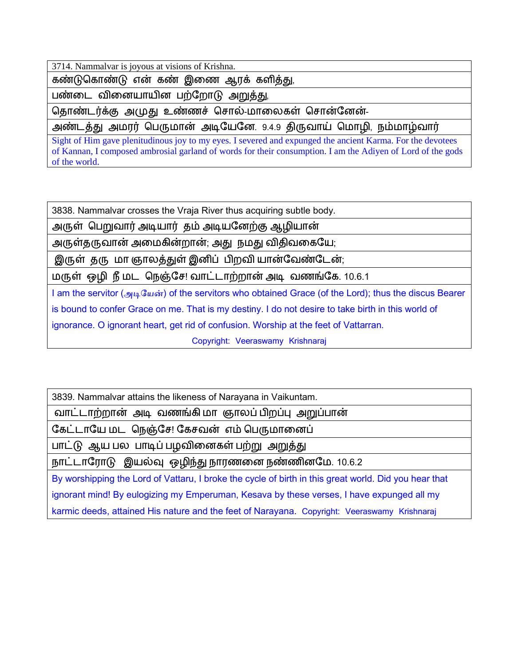3714. Nammalvar is joyous at visions of Krishna.

கண்டுகொண்டு என் கண் இணை ஆரக் களித்து,

பண்டை வினையாயின பற்றோடு அறுத்து,

தொண்டர்க்கு அமுது உண்ணச் சொல்-மாலைகள் சொன்னேன்-

அண்டத்து அமரர் பெருமான் அடியேனே. 9.4.9 திருவாய் மொழி, நம்மாழ்வார்

Sight of Him gave plenitudinous joy to my eyes. I severed and expunged the ancient Karma. For the devotees of Kannan, I composed ambrosial garland of words for their consumption. I am the Adiyen of Lord of the gods of the world.

3838. Nammalvar crosses the Vraja River thus acquiring subtle body.

அருள் மறுயார் அடினார் தம் அடினயற்கு ஆமினான்

அருள்தருவான் அமைகின்றான்; அது நமது விதிவகையே;

இருள் தரு மா ஞாலத்துள் இனிப் பிறவி யான்வேண்டேன்;

மருள் ஒழி நீ மட நெஞ்சே! வாட்டாற்றான் அடி வணங்கே. 10.6.1

I am the servitor (அடியேன்) of the servitors who obtained Grace (of the Lord); thus the discus Bearer is bound to confer Grace on me. That is my destiny. I do not desire to take birth in this world of ignorance. O ignorant heart, get rid of confusion. Worship at the feet of Vattarran.

Copyright: Veeraswamy Krishnaraj

3839. Nammalvar attains the likeness of Narayana in Vaikuntam.

யாட்ோற்ான் அடி யணங்கி நா ஞாப் ிப்பு அறுப்ான்

கேட்டாயே மட நெஞ்சே! கேசவன் எம் பெருமானைப்

பாட்டு ஆய பல பாடிப் பழவினைகள் பற்று அறுத்து

நாட்டாரோடு இயல்வு ஒழிந்து நாரணனை நண்ணினமே. 10.6.2

By worshipping the Lord of Vattaru, I broke the cycle of birth in this great world. Did you hear that ignorant mind! By eulogizing my Emperuman, Kesava by these verses, I have expunged all my karmic deeds, attained His nature and the feet of Narayana. Copyright: Veeraswamy Krishnaraj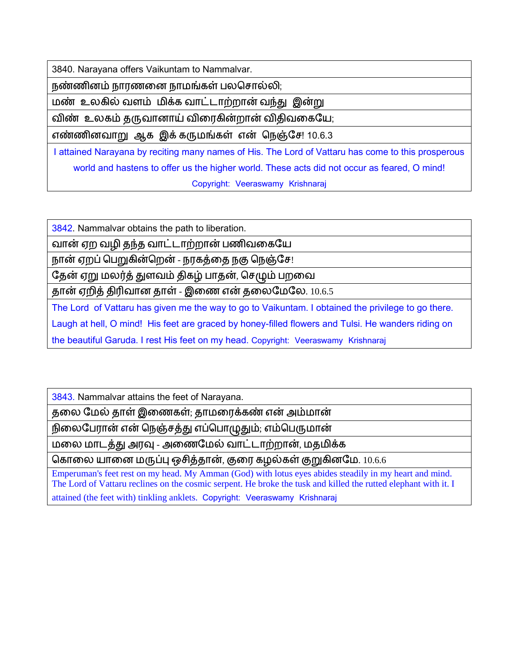3840. Narayana offers Vaikuntam to Nammalvar.

நண்ணினம் நாரணனை நாமங்கள் பலசொல்லி;

நண் உகில் யம் நிக்க யாட்ோற்ான் யந்து இன்று

விண் உலகம் தருவானாய் விரைகின்றான் விதிவகையே;

எண்ணினவாறு ஆக இக் கருமங்கள் என் நெஞ்சே! 10.6.3

I attained Narayana by reciting many names of His. The Lord of Vattaru has come to this prosperous world and hastens to offer us the higher world. These acts did not occur as feared, O mind! Copyright: Veeraswamy Krishnaraj

3842. Nammalvar obtains the path to liberation.

வான் ஏற வழி தந்த வாட்டாற்றான் பணிவகையே

நான் ஏறப் பெறுகின்றென் - நரகத்தை நகு நெஞ்சே!

தேன் ஏறு மலர்த் துளவம் திகழ் பாதன், செழும் பறவை

தான் ஏறித் திரிவான தாள் - இணை என் தலைமேலே.  $10.6.5$ 

The Lord of Vattaru has given me the way to go to Vaikuntam. I obtained the privilege to go there. Laugh at hell, O mind! His feet are graced by honey-filled flowers and Tulsi. He wanders riding on the beautiful Garuda. I rest His feet on my head. Copyright: Veeraswamy Krishnaraj

3843. Nammalvar attains the feet of Narayana.

தலை மேல் தாள் இணைகள்; தாமரைக்கண் என் அம்மான்

நிலைபேரான் என் நெஞ்சத்து எப்பொழுதும்; எம்பெருமான்

மலை மாடத்து அரவு - அணைமேல் வாட்டாற்றான், மதமிக்க

கொலை யானை மருப்பு ஒசித்தான், குரை கழல்கள் குறுகினமே. 10.6.6

Emperuman's feet rest on my head. My Amman (God) with lotus eyes abides steadily in my heart and mind. The Lord of Vattaru reclines on the cosmic serpent. He broke the tusk and killed the rutted elephant with it. I attained (the feet with) tinkling anklets. Copyright: Veeraswamy Krishnaraj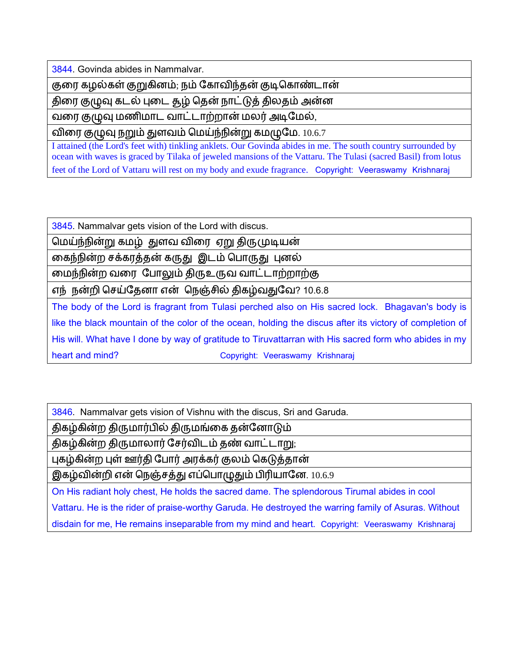3844. Govinda abides in Nammalvar.

குரை கழல்கள் குறுகினம்; நம் கோவிந்தன் குடிகொண்டான்

திரை குழுவு கடல் புடை தூழ் தென் நாட்டுத் திலதம் அன்ன

வரை குழுவு மணிமாட வாட்டாற்றான் மலர் அடிமேல்,

விரை குழுவு நறும் துளவம் மெய்ந்நின்று கமழுமே. 10.6.7

I attained (the Lord's feet with) tinkling anklets. Our Govinda abides in me. The south country surrounded by ocean with waves is graced by Tilaka of jeweled mansions of the Vattaru. The Tulasi (sacred Basil) from lotus feet of the Lord of Vattaru will rest on my body and exude fragrance. Copyright: Veeraswamy Krishnaraj

3845. Nammalvar gets vision of the Lord with discus.

மெய்ந்நின்று கமழ் துளவ விரை ஏறு திருமுடியன்

கைந்நின்ற சக்கரத்தன் கருது இடம் பொருது புனல்

மைந்நின்ற வரை போலும் திருஉருவ வாட்டாற்றாற்கு

எந் நன்றி செய்தேனா என் நெஞ்சில் திகழ்வதுவே? 10.6.8

The body of the Lord is fragrant from Tulasi perched also on His sacred lock. Bhagavan's body is like the black mountain of the color of the ocean, holding the discus after its victory of completion of His will. What have I done by way of gratitude to Tiruvattarran with His sacred form who abides in my heart and mind? Theart and mind? Copyright: Veeraswamy Krishnaraj

3846. Nammalvar gets vision of Vishnu with the discus, Sri and Garuda.

திகழ்கின்ற திருமார்பில் திருமங்கை தன்னோடும்

திகழ்கின்ற திருமாலார் சேர்விடம் தண் வாட்டாறு;

புகழ்கின்ற புள் ஊர்தி போர் அரக்கர் குலம் கெடுத்தான்

இகழ்வின்றி என் நெஞ்சத்து எப்பொழுதும் பிரியானே. 10.6.9

On His radiant holy chest, He holds the sacred dame. The splendorous Tirumal abides in cool Vattaru. He is the rider of praise-worthy Garuda. He destroyed the warring family of Asuras. Without disdain for me, He remains inseparable from my mind and heart. Copyright: Veeraswamy Krishnaraj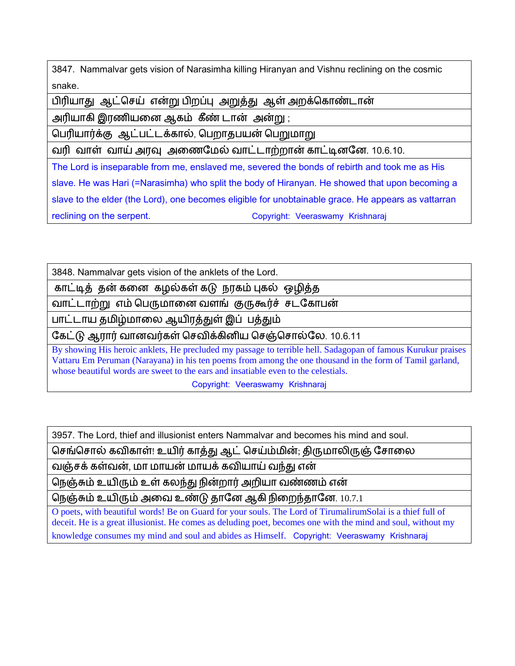3847. Nammalvar gets vision of Narasimha killing Hiranyan and Vishnu reclining on the cosmic snake.

பிரியாது ஆட்செய் என்று பிறப்பு அறுத்து ஆள் அறக்கொண்டான்

அரினாகி இபணினர ஆகம் கீண் ோன் அன்று ;

பெரியார்க்கு ஆட்பட்டக்கால், பெறாதபயன் பெறுமாறு

வரி வாள் வாய் அரவு அணைமேல் வாட்டாற்றான் காட்டினனே. 10.6.10.

The Lord is inseparable from me, enslaved me, severed the bonds of rebirth and took me as His slave. He was Hari (=Narasimha) who split the body of Hiranyan. He showed that upon becoming a slave to the elder (the Lord), one becomes eligible for unobtainable grace. He appears as vattarran reclining on the serpent. Copyright: Veeraswamy Krishnaraj

3848. Nammalvar gets vision of the anklets of the Lord.

காட்டித் தன் கனை கழல்கள் கடு நரகம் புகல் ஒழித்த

வாட்டாற்று எம் பெருமானை வளங் குருகூர்ச் சடகோபன்

பாட்டாய தமிழ்மாலை ஆயிரத்துள் இப் பத்தும்

கேட்டு ஆரார் வானவர்கள் செவிக்கினிய செஞ்சொல்லே. 10.6.11

By showing His heroic anklets, He precluded my passage to terrible hell. Sadagopan of famous Kurukur praises Vattaru Em Peruman (Narayana) in his ten poems from among the one thousand in the form of Tamil garland, whose beautiful words are sweet to the ears and insatiable even to the celestials.

Copyright: Veeraswamy Krishnaraj

3957. The Lord, thief and illusionist enters Nammalvar and becomes his mind and soul.

செங்சொல் கவிகாள்! உயிர் காத்து ஆட் செய்ம்மின்; திருமாலிருஞ் சோலை

வஞ்சக் கள்வன், மா மாயன் மாயக் கவியாய் வந்து என்

நெஞ்சும் உயிரும் உள் கலந்து நின்றார் அறியா வண்ணம் என்

நெஞ்சும் உயிரும் அவை உண்டு தானே ஆகி நிறைந்தானே. 10.7.1

O poets, with beautiful words! Be on Guard for your souls. The Lord of TirumalirumSolai is a thief full of deceit. He is a great illusionist. He comes as deluding poet, becomes one with the mind and soul, without my knowledge consumes my mind and soul and abides as Himself. Copyright: Veeraswamy Krishnaraj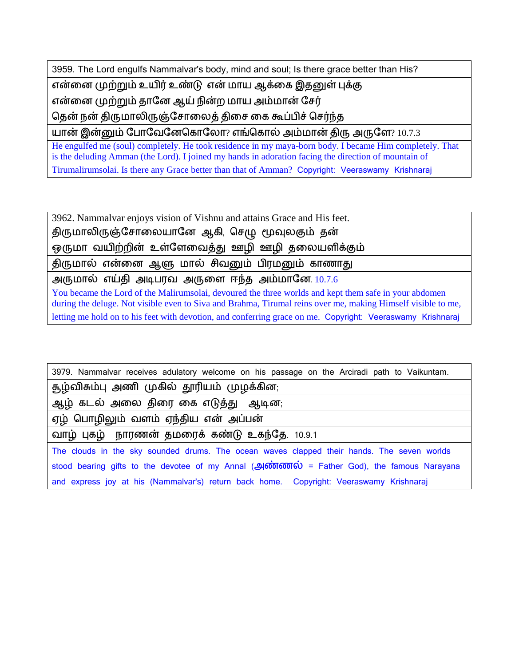3959. The Lord engulfs Nammalvar's body, mind and soul; Is there grace better than His?

ன்ரபற்றும் உனிர் உண்டு ன் நான ஆக்ரக இதனுள் புக்கு

என்னை முற்றும் தானே ஆய் நின்ற மாய அம்மான் சேர்

தென் நன் திருமாலிருஞ்சோலைத் திசை கை கூப்பிச் செர்ந்த

 $\mu$ பான் இன்னும் போவேனேகொலோ? எங்கொல் அம்மான் திரு அருளே? 10.7.3

He engulfed me (soul) completely. He took residence in my maya-born body. I became Him completely. That is the deluding Amman (the Lord). I joined my hands in adoration facing the direction of mountain of Tirumalirumsolai. Is there any Grace better than that of Amman? Copyright: Veeraswamy Krishnaraj

3962. Nammalvar enjoys vision of Vishnu and attains Grace and His feet.

திருமாலிருஞ்சோலையானே ஆகி, செழு மூவுலகும் தன்

ஒருமா வயிற்றின் உள்ளேவைத்து ஊழி ஊழி தலையளிக்கும்

திருமால் என்னை ஆளு மால் சிவனும் பிரமனும் காணாது

அருமால் எய்தி அடிபரவ அருளை ஈந்த அம்மானே 10.7.6

You became the Lord of the Malirumsolai, devoured the three worlds and kept them safe in your abdomen during the deluge. Not visible even to Siva and Brahma, Tirumal reins over me, making Himself visible to me, letting me hold on to his feet with devotion, and conferring grace on me. Copyright: Veeraswamy Krishnaraj

3979. Nammalvar receives adulatory welcome on his passage on the Arciradi path to Vaikuntam. சூழ்விசும்பு அணி முகில் தூரியம் முழக்கின; ஆழ் கடல் அலை திரை கை எடுத்து ஆடின; ஏழ் பொழிலும் வளம் ஏந்திய என் அப்பன் வாழ் புகழ் நாரணன் தமரைக் கண்டு உகந்தே. 10.9.1 The clouds in the sky sounded drums. The ocean waves clapped their hands. The seven worlds stood bearing gifts to the devotee of my Annal  $($ அண்ணல் = Father God), the famous Narayana and express joy at his (Nammalvar's) return back home. Copyright: Veeraswamy Krishnaraj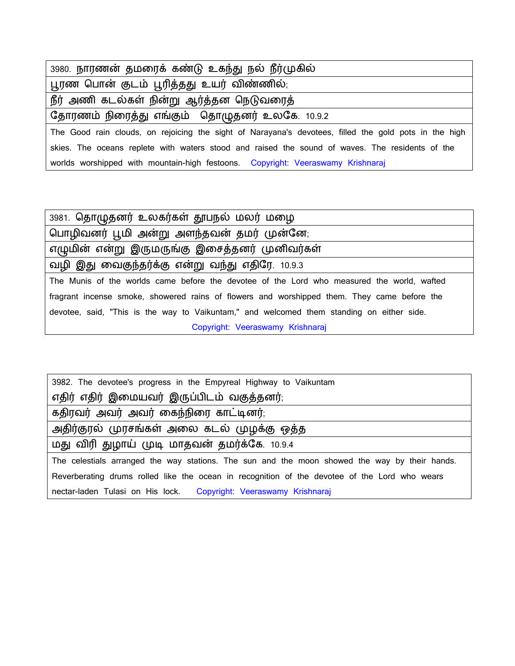| 3980. நாரணன் தமரைக் கண்டு உகந்து நல் நீர்முகில்                                                       |
|-------------------------------------------------------------------------------------------------------|
| பூரண பொன் குடம் பூரித்தது உயர் விண்ணில்;                                                              |
| நீர் அணி கடல்கள் நின்று ஆர்த்தன நெடுவரைத்                                                             |
| தோரணம் நிரைத்து எங்கும் தொழுதனர் உலகே. 10.9.2                                                         |
| The Good rain clouds, on rejoicing the sight of Narayana's devotees, filled the gold pots in the high |
| skies. The oceans replete with waters stood and raised the sound of waves. The residents of the       |
| worlds worshipped with mountain-high festoons. Copyright: Veeraswamy Krishnaraj                       |

3981. தொழுதனர் உலகர்கள் தூபநல் மலர் மழை பொழிவனர் பூமி அன்று அளந்தவன் தமர் முன்னே; எழுமின் என்று இருமருங்கு இசைத்தனர் முனிவர்கள் யமி இது னயகுந்தர்க்கு என்று யந்து எதிறப. 10.9.3 The Munis of the worlds came before the devotee of the Lord who measured the world, wafted fragrant incense smoke, showered rains of flowers and worshipped them. They came before the devotee, said, "This is the way to Vaikuntam," and welcomed them standing on either side. Copyright: Veeraswamy Krishnaraj

| 3982. The devotee's progress in the Empyreal Highway to Vaikuntam                             |
|-----------------------------------------------------------------------------------------------|
| எதிர் எதிர் இமையவர் இருப்பிடம் வகுத்தனர்;                                                     |
| கதிரவர் அவர் அவர் கைந்நிரை காட்டினர்;                                                         |
| அதிர்குரல் முரசங்கள் அலை கடல் முழக்கு ஒத்த                                                    |
| மது விரி துழாய் முடி மாதவன் தமர்க்கே. 10.9.4                                                  |
| The celestials arranged the way stations. The sun and the moon showed the way by their hands. |
| Reverberating drums rolled like the ocean in recognition of the devotee of the Lord who wears |
| nectar-laden Tulasi on His lock. Copyright: Veeraswamy Krishnaraj                             |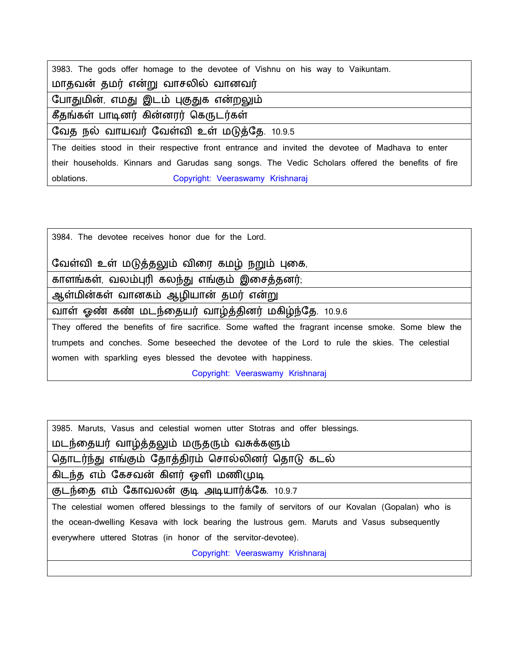| 3983. The gods offer homage to the devotee of Vishnu on his way to Vaikuntam.                     |
|---------------------------------------------------------------------------------------------------|
| மாதவன் தமர் என்று வாசலில் வானவர்                                                                  |
| போதுமின், எமது இடம் புகுதுக என்றலும்                                                              |
| கீதங்கள் பாடினர் கின்னரர் கெருடர்கள்                                                              |
| வேத நல் வாயவர் வேள்வி உள் மடுத்தே. 10.9.5                                                         |
| The deities stood in their respective front entrance and invited the devotee of Madhava to enter  |
|                                                                                                   |
| their households. Kinnars and Garudas sang songs. The Vedic Scholars offered the benefits of fire |

3984. The devotee receives honor due for the Lord.

## வேள்வி உள் மடுத்தலும் விரை கமழ் நறும் புகை,

காளங்கள், வலம்புரி கலந்து எங்கும் இசைத்தனர்;

ஆள்மின்கள் வானகம் ஆழியான் தமர் என்று

வாள் ஓண் கண் மடந்தையர் வாழ்த்தினர் மகிழ்ந்தே. 10.9.6

They offered the benefits of fire sacrifice. Some wafted the fragrant incense smoke. Some blew the trumpets and conches. Some beseeched the devotee of the Lord to rule the skies. The celestial women with sparkling eyes blessed the devotee with happiness.

Copyright: Veeraswamy Krishnaraj

| 3985. Maruts, Vasus and celestial women utter Stotras and offer blessings.                       |
|--------------------------------------------------------------------------------------------------|
| மடந்தையர் வாழ்த்தலும் மருதரும் வசுக்களும்                                                        |
| தொடர்ந்து எங்கும் தோத்திரம் சொல்லினர் தொடு கடல்                                                  |
| கிடந்த எம் கேசவன் கிளர் ஒளி மணிமுடி                                                              |
| குடந்தை எம் கோவலன் குடி அடியார்க்கே. 10.9.7                                                      |
| The celestial women offered blessings to the family of servitors of our Kovalan (Gopalan) who is |
| the ocean-dwelling Kesava with lock bearing the lustrous gem. Maruts and Vasus subsequently      |
| everywhere uttered Stotras (in honor of the servitor-devotee).                                   |
| Copyright: Veeraswamy Krishnaraj                                                                 |
|                                                                                                  |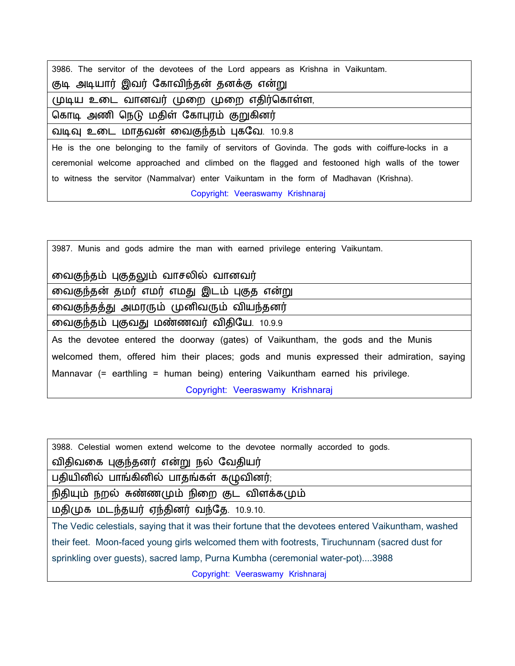| 3986. The servitor of the devotees of the Lord appears as Krishna in Vaikuntam.                  |
|--------------------------------------------------------------------------------------------------|
| குடி அடியார் இவர் கோவிந்தன் தனக்கு என்று                                                         |
| முடிய உடை வானவர் முறை முறை எதிர்கொள்ள,                                                           |
| கொடி அணி நெடு மதிள் கோபுரம் குறுகினர்                                                            |
| வடிவு உடை மாதவன் வைகுந்தம் புகவே. 10.9.8                                                         |
| He is the one belonging to the family of servitors of Govinda. The gods with coiffure-locks in a |
| ceremonial welcome approached and climbed on the flagged and festooned high walls of the tower   |
| to witness the servitor (Nammalvar) enter Vaikuntam in the form of Madhavan (Krishna).           |
| Copyright: Veeraswamy Krishnaraj                                                                 |

| 3987. Munis and gods admire the man with earned privilege entering Vaikuntam.              |
|--------------------------------------------------------------------------------------------|
| வைகுந்தம் புகுதலும் வாசலில் வானவர்                                                         |
| வைகுந்தன் தமர் எமர் எமது இடம் புகுத என்று                                                  |
| வைகுந்தத்து அமரரும் முனிவரும் வியந்தனர்                                                    |
| வைகுந்தம் புகுவது மண்ணவர் விதியே. 10.9.9                                                   |
| As the devotee entered the doorway (gates) of Vaikuntham, the gods and the Munis           |
| welcomed them, offered him their places; gods and munis expressed their admiration, saying |
| Mannavar (= earthling = human being) entering Vaikuntham earned his privilege.             |
| Copyright: Veeraswamy Krishnaraj                                                           |

| 3988. Celestial women extend welcome to the devotee normally accorded to gods.                      |
|-----------------------------------------------------------------------------------------------------|
| விதிவகை புகுந்தனர் என்று நல் வேதியர்                                                                |
| பதியினில் பாங்கினில் பாதங்கள் கழுவினர்;                                                             |
| நிதியும் நறல் சுண்ணமும் நிறை குட விளக்கமும்                                                         |
| மதிமுக மடந்தயர் ஏந்தினர் வந்தே. 10.9.10.                                                            |
| The Vedic celestials, saying that it was their fortune that the devotees entered Vaikuntham, washed |
| their feet. Moon-faced young girls welcomed them with footrests, Tiruchunnam (sacred dust for       |
| sprinkling over guests), sacred lamp, Purna Kumbha (ceremonial water-pot)3988                       |
| Copyright: Veeraswamy Krishnaraj                                                                    |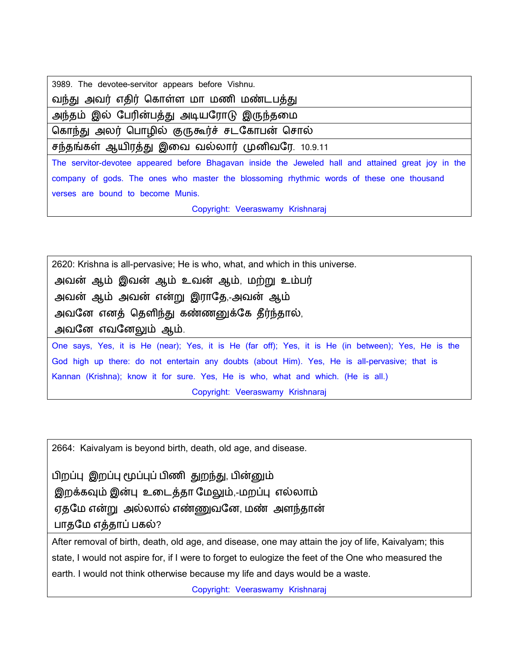| 3989. The devotee-servitor appears before Vishnu.                                                   |
|-----------------------------------------------------------------------------------------------------|
| வந்து அவர் எதிர் கொள்ள மா மணி மண்டபத்து                                                             |
| அந்தம் இல் பேரின்பத்து அடியரோடு இருந்தமை                                                            |
| கொந்து அலர் பொழில் குருகூர்ச் சடகோபன் சொல்                                                          |
| சந்தங்கள் ஆயிரத்து இவை வல்லார் முனிவரே. 10.9.11                                                     |
| The servitor-devotee appeared before Bhagavan inside the Jeweled hall and attained great joy in the |
| company of gods. The ones who master the blossoming rhythmic words of these one thousand            |
| verses are bound to become Munis.                                                                   |
| Copyright: Veeraswamy Krishnaraj                                                                    |

2620: Krishna is all-pervasive; He is who, what, and which in this universe. அயன் ஆம் இயன் ஆம் உயன் ஆம், நற்று உம்ர் அயன் ஆம் அயன் என்று இபொறத,-அயன் ஆம் அவனே எனத் தெளிந்து கண்ணனுக்கே தீர்ந்தால், அவனே எவனேலும் ஆம். One says, Yes, it is He (near); Yes, it is He (far off); Yes, it is He (in between); Yes, He is the God high up there: do not entertain any doubts (about Him). Yes, He is all-pervasive; that is Kannan (Krishna); know it for sure. Yes, He is who, what and which. (He is all.) Copyright: Veeraswamy Krishnaraj

2664: Kaivalyam is beyond birth, death, old age, and disease.

ிப்பு இப்பு பப்புப் ிணி துந்து, ின்னும் இறக்கவும் இன்பு உடைத்தா மேலும்,-மறப்பு எல்லாம் ஏதமே என்று அல்லால் எண்ணுவனே, மண் அளந்தான் பாதமே எத்தாப் பகல்?

After removal of birth, death, old age, and disease, one may attain the joy of life, Kaivalyam; this state, I would not aspire for, if I were to forget to eulogize the feet of the One who measured the earth. I would not think otherwise because my life and days would be a waste.

Copyright: Veeraswamy Krishnaraj